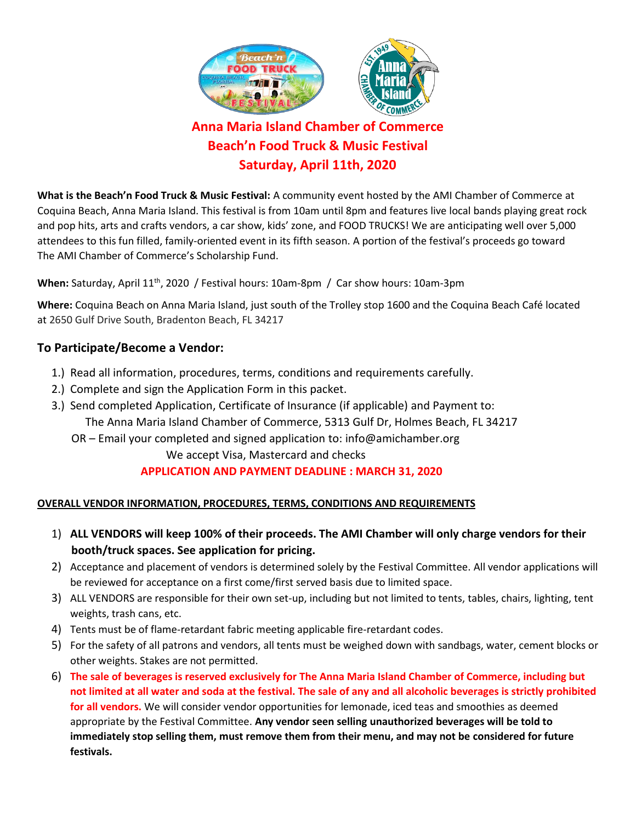

**Beach'n Food Truck & Music Festival Saturday, April 11th, 2020**

**What is the Beach'n Food Truck & Music Festival:** A community event hosted by the AMI Chamber of Commerce at Coquina Beach, Anna Maria Island. This festival is from 10am until 8pm and features live local bands playing great rock and pop hits, arts and crafts vendors, a car show, kids' zone, and FOOD TRUCKS! We are anticipating well over 5,000 attendees to this fun filled, family-oriented event in its fifth season. A portion of the festival's proceeds go toward The AMI Chamber of Commerce's Scholarship Fund.

When: Saturday, April 11<sup>th</sup>, 2020 / Festival hours: 10am-8pm / Car show hours: 10am-3pm

**Where:** Coquina Beach on Anna Maria Island, just south of the Trolley stop 1600 and the Coquina Beach Café located at 2650 Gulf Drive South, Bradenton Beach, FL 34217

## **To Participate/Become a Vendor:**

- 1.) Read all information, procedures, terms, conditions and requirements carefully.
- 2.) Complete and sign the Application Form in this packet.
- 3.) Send completed Application, Certificate of Insurance (if applicable) and Payment to: The Anna Maria Island Chamber of Commerce, 5313 Gulf Dr, Holmes Beach, FL 34217
	- OR Email your completed and signed application to: info@amichamber.org

We accept Visa, Mastercard and checks

# **APPLICATION AND PAYMENT DEADLINE : MARCH 31, 2020**

### **OVERALL VENDOR INFORMATION, PROCEDURES, TERMS, CONDITIONS AND REQUIREMENTS**

- 1) **ALL VENDORS will keep 100% of their proceeds. The AMI Chamber will only charge vendors for their booth/truck spaces. See application for pricing.**
- 2) Acceptance and placement of vendors is determined solely by the Festival Committee. All vendor applications will be reviewed for acceptance on a first come/first served basis due to limited space.
- 3) ALL VENDORS are responsible for their own set-up, including but not limited to tents, tables, chairs, lighting, tent weights, trash cans, etc.
- 4) Tents must be of flame-retardant fabric meeting applicable fire-retardant codes.
- 5) For the safety of all patrons and vendors, all tents must be weighed down with sandbags, water, cement blocks or other weights. Stakes are not permitted.
- 6) **The sale of beverages is reserved exclusively for The Anna Maria Island Chamber of Commerce, including but not limited at all water and soda at the festival. The sale of any and all alcoholic beverages is strictly prohibited for all vendors.** We will consider vendor opportunities for lemonade, iced teas and smoothies as deemed appropriate by the Festival Committee. **Any vendor seen selling unauthorized beverages will be told to immediately stop selling them, must remove them from their menu, and may not be considered for future festivals.**